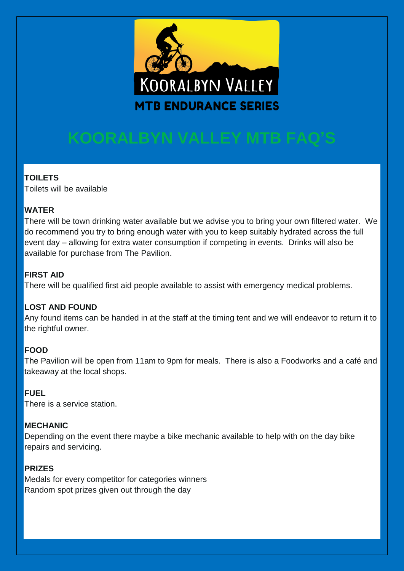

## **TOILETS**

Toilets will be available

### **WATER**

There will be town drinking water available but we advise you to bring your own filtered water. We do recommend you try to bring enough water with you to keep suitably hydrated across the full event day – allowing for extra water consumption if competing in events. Drinks will also be available for purchase from The Pavilion.

#### **FIRST AID**

There will be qualified first aid people available to assist with emergency medical problems.

#### **LOST AND FOUND**

Any found items can be handed in at the staff at the timing tent and we will endeavor to return it to the rightful owner.

## **FOOD**

The Pavilion will be open from 11am to 9pm for meals. There is also a Foodworks and a café and takeaway at the local shops.

## **FUEL**

There is a service station.

#### **MECHANIC**

Depending on the event there maybe a bike mechanic available to help with on the day bike repairs and servicing.

## **PRIZES**

Medals for every competitor for categories winners Random spot prizes given out through the day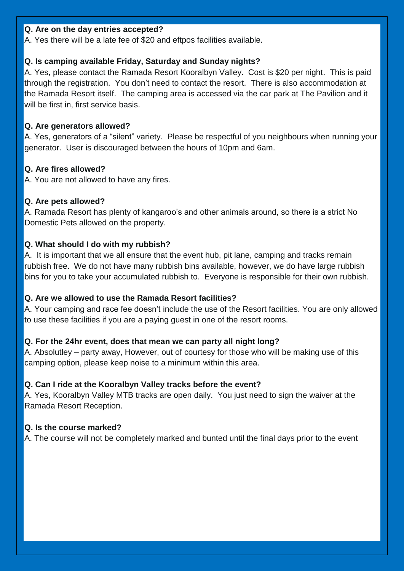#### **Q. Are on the day entries accepted?**

A. Yes there will be a late fee of \$20 and eftpos facilities available.

#### **Q. Is camping available Friday, Saturday and Sunday nights?**

A. Yes, please contact the Ramada Resort Kooralbyn Valley. Cost is \$20 per night. This is paid through the registration. You don't need to contact the resort. There is also accommodation at the Ramada Resort itself. The camping area is accessed via the car park at The Pavilion and it will be first in, first service basis.

#### **Q. Are generators allowed?**

A. Yes, generators of a "silent" variety. Please be respectful of you neighbours when running your generator. User is discouraged between the hours of 10pm and 6am.

#### **Q. Are fires allowed?**

A. You are not allowed to have any fires.

#### **Q. Are pets allowed?**

A. Ramada Resort has plenty of kangaroo's and other animals around, so there is a strict No Domestic Pets allowed on the property.

#### **Q. What should I do with my rubbish?**

A. It is important that we all ensure that the event hub, pit lane, camping and tracks remain rubbish free. We do not have many rubbish bins available, however, we do have large rubbish bins for you to take your accumulated rubbish to. Everyone is responsible for their own rubbish.

#### **Q. Are we allowed to use the Ramada Resort facilities?**

A. Your camping and race fee doesn't include the use of the Resort facilities. You are only allowed to use these facilities if you are a paying guest in one of the resort rooms.

#### **Q. For the 24hr event, does that mean we can party all night long?**

A. Absolutley – party away, However, out of courtesy for those who will be making use of this camping option, please keep noise to a minimum within this area.

#### **Q. Can I ride at the Kooralbyn Valley tracks before the event?**

A. Yes, Kooralbyn Valley MTB tracks are open daily. You just need to sign the waiver at the Ramada Resort Reception.

#### **Q. Is the course marked?**

A. The course will not be completely marked and bunted until the final days prior to the event